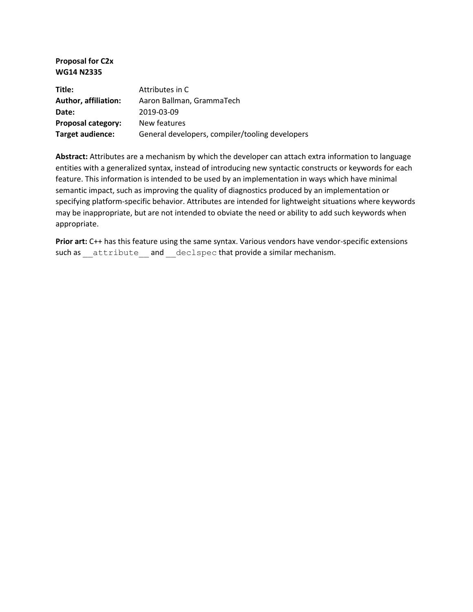**Proposal for C2x WG14 N2335**

| Title:                      | Attributes in C                                 |
|-----------------------------|-------------------------------------------------|
| <b>Author, affiliation:</b> | Aaron Ballman, GrammaTech                       |
| Date:                       | 2019-03-09                                      |
| Proposal category:          | New features                                    |
| Target audience:            | General developers, compiler/tooling developers |

**Abstract:** Attributes are a mechanism by which the developer can attach extra information to language entities with a generalized syntax, instead of introducing new syntactic constructs or keywords for each feature. This information is intended to be used by an implementation in ways which have minimal semantic impact, such as improving the quality of diagnostics produced by an implementation or specifying platform-specific behavior. Attributes are intended for lightweight situations where keywords may be inappropriate, but are not intended to obviate the need or ability to add such keywords when appropriate.

Prior art: C++ has this feature using the same syntax. Various vendors have vendor-specific extensions such as \_\_attribute \_\_and \_\_declspec that provide a similar mechanism.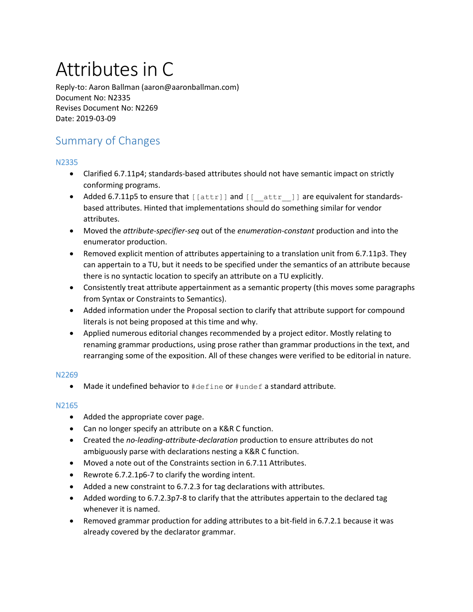# Attributes in C

Reply-to: Aaron Ballman (aaron@aaronballman.com) Document No: N2335 Revises Document No: N2269 Date: 2019-03-09

# Summary of Changes

# N2335

- Clarified 6.7.11p4; standards-based attributes should not have semantic impact on strictly conforming programs.
- Added 6.7.11p5 to ensure that [[attr]] and [[\_\_attr \_]] are equivalent for standardsbased attributes. Hinted that implementations should do something similar for vendor attributes.
- Moved the *attribute-specifier-seq* out of the *enumeration-constant* production and into the enumerator production.
- Removed explicit mention of attributes appertaining to a translation unit from 6.7.11p3. They can appertain to a TU, but it needs to be specified under the semantics of an attribute because there is no syntactic location to specify an attribute on a TU explicitly.
- Consistently treat attribute appertainment as a semantic property (this moves some paragraphs from Syntax or Constraints to Semantics).
- Added information under the Proposal section to clarify that attribute support for compound literals is not being proposed at this time and why.
- Applied numerous editorial changes recommended by a project editor. Mostly relating to renaming grammar productions, using prose rather than grammar productions in the text, and rearranging some of the exposition. All of these changes were verified to be editorial in nature.

# N2269

• Made it undefined behavior to #define or #undef a standard attribute.

# N2165

- Added the appropriate cover page.
- Can no longer specify an attribute on a K&R C function.
- Created the *no-leading-attribute-declaration* production to ensure attributes do not ambiguously parse with declarations nesting a K&R C function.
- Moved a note out of the Constraints section in 6.7.11 Attributes.
- Rewrote 6.7.2.1p6-7 to clarify the wording intent.
- Added a new constraint to 6.7.2.3 for tag declarations with attributes.
- Added wording to 6.7.2.3p7-8 to clarify that the attributes appertain to the declared tag whenever it is named.
- Removed grammar production for adding attributes to a bit-field in 6.7.2.1 because it was already covered by the declarator grammar.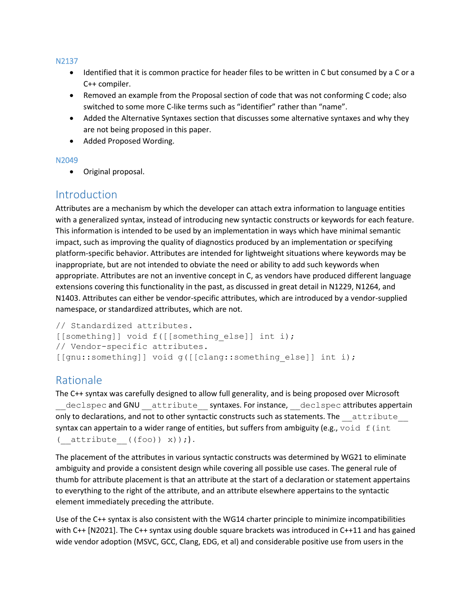## N2137

- Identified that it is common practice for header files to be written in C but consumed by a C or a C++ compiler.
- Removed an example from the Proposal section of code that was not conforming C code; also switched to some more C-like terms such as "identifier" rather than "name".
- Added the Alternative Syntaxes section that discusses some alternative syntaxes and why they are not being proposed in this paper.
- Added Proposed Wording.

# N2049

• Original proposal.

# **Introduction**

Attributes are a mechanism by which the developer can attach extra information to language entities with a generalized syntax, instead of introducing new syntactic constructs or keywords for each feature. This information is intended to be used by an implementation in ways which have minimal semantic impact, such as improving the quality of diagnostics produced by an implementation or specifying platform-specific behavior. Attributes are intended for lightweight situations where keywords may be inappropriate, but are not intended to obviate the need or ability to add such keywords when appropriate. Attributes are not an inventive concept in C, as vendors have produced different language extensions covering this functionality in the past, as discussed in great detail in N1229, N1264, and N1403. Attributes can either be vendor-specific attributes, which are introduced by a vendor-supplied namespace, or standardized attributes, which are not.

```
// Standardized attributes.
[[something]] void f([[something else]] int i);
// Vendor-specific attributes.
[[gnu::something]] void g([[clang::something else]] int i);
```
# Rationale

The C++ syntax was carefully designed to allow full generality, and is being proposed over Microsoft declspec and GNU attribute syntaxes. For instance, declspec attributes appertain only to declarations, and not to other syntactic constructs such as statements. The attribute syntax can appertain to a wider range of entities, but suffers from ambiguity (e.g.,  $\text{void } f$  (int ( $attribute$  ((foo)) x));).

The placement of the attributes in various syntactic constructs was determined by WG21 to eliminate ambiguity and provide a consistent design while covering all possible use cases. The general rule of thumb for attribute placement is that an attribute at the start of a declaration or statement appertains to everything to the right of the attribute, and an attribute elsewhere appertains to the syntactic element immediately preceding the attribute.

Use of the C++ syntax is also consistent with the WG14 charter principle to minimize incompatibilities with C++ [N2021]. The C++ syntax using double square brackets was introduced in C++11 and has gained wide vendor adoption (MSVC, GCC, Clang, EDG, et al) and considerable positive use from users in the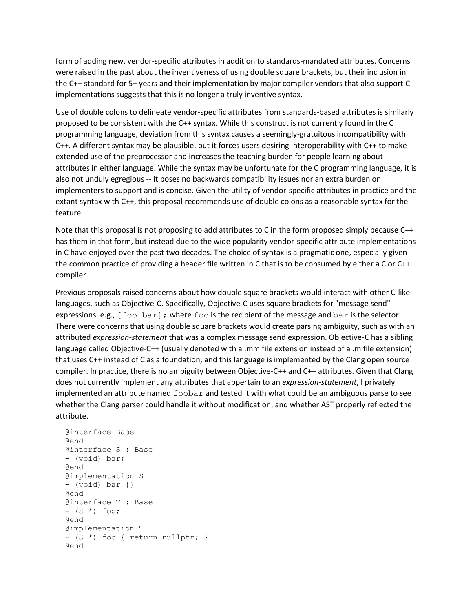form of adding new, vendor-specific attributes in addition to standards-mandated attributes. Concerns were raised in the past about the inventiveness of using double square brackets, but their inclusion in the C++ standard for 5+ years and their implementation by major compiler vendors that also support C implementations suggests that this is no longer a truly inventive syntax.

Use of double colons to delineate vendor-specific attributes from standards-based attributes is similarly proposed to be consistent with the C++ syntax. While this construct is not currently found in the C programming language, deviation from this syntax causes a seemingly-gratuitous incompatibility with C++. A different syntax may be plausible, but it forces users desiring interoperability with C++ to make extended use of the preprocessor and increases the teaching burden for people learning about attributes in either language. While the syntax may be unfortunate for the C programming language, it is also not unduly egregious -- it poses no backwards compatibility issues nor an extra burden on implementers to support and is concise. Given the utility of vendor-specific attributes in practice and the extant syntax with C++, this proposal recommends use of double colons as a reasonable syntax for the feature.

Note that this proposal is not proposing to add attributes to C in the form proposed simply because C++ has them in that form, but instead due to the wide popularity vendor-specific attribute implementations in C have enjoyed over the past two decades. The choice of syntax is a pragmatic one, especially given the common practice of providing a header file written in C that is to be consumed by either a C or C++ compiler.

Previous proposals raised concerns about how double square brackets would interact with other C-like languages, such as Objective-C. Specifically, Objective-C uses square brackets for "message send" expressions. e.g.,  $[foot\ bary]$ ; where foo is the recipient of the message and  $bar$  is the selector. There were concerns that using double square brackets would create parsing ambiguity, such as with an attributed *expression-statement* that was a complex message send expression. Objective-C has a sibling language called Objective-C++ (usually denoted with a .mm file extension instead of a .m file extension) that uses C++ instead of C as a foundation, and this language is implemented by the Clang open source compiler. In practice, there is no ambiguity between Objective-C++ and C++ attributes. Given that Clang does not currently implement any attributes that appertain to an *expression-statement*, I privately implemented an attribute named  $f \circ \circ b$  and tested it with what could be an ambiguous parse to see whether the Clang parser could handle it without modification, and whether AST properly reflected the attribute.

```
 @interface Base
 @end
 @interface S : Base
 - (void) bar;
 @end
 @implementation S
 - (void) bar {}
 @end
 @interface T : Base
- (S *) foo;
 @end
 @implementation T
 - (S *) foo { return nullptr; }
 @end
```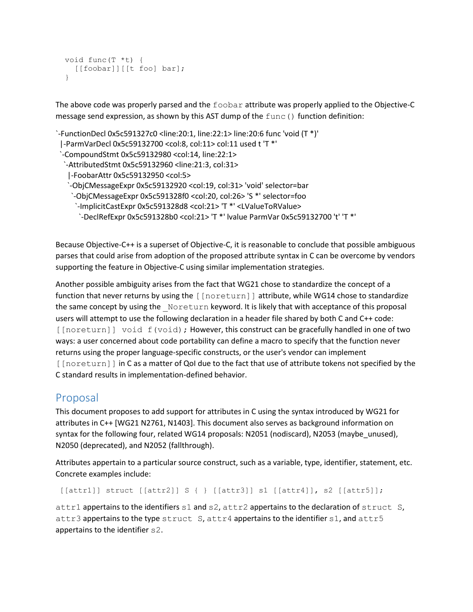```
 void func(T *t) {
   [[foobar]][[t foo] bar];
 }
```
The above code was properly parsed and the foobar attribute was properly applied to the Objective-C message send expression, as shown by this AST dump of the  $func()$  function definition:

```
`-FunctionDecl 0x5c591327c0 <line:20:1, line:22:1> line:20:6 func 'void (T *)'
 |-ParmVarDecl 0x5c59132700 <col:8, col:11> col:11 used t 'T *'
  `-CompoundStmt 0x5c59132980 <col:14, line:22:1>
  `-AttributedStmt 0x5c59132960 <line:21:3, col:31>
    |-FoobarAttr 0x5c59132950 <col:5>
    `-ObjCMessageExpr 0x5c59132920 <col:19, col:31> 'void' selector=bar
     `-ObjCMessageExpr 0x5c591328f0 <col:20, col:26> 'S *' selector=foo
      `-ImplicitCastExpr 0x5c591328d8 <col:21> 'T *' <LValueToRValue>
       `-DeclRefExpr 0x5c591328b0 <col:21> 'T *' lvalue ParmVar 0x5c59132700 't' 'T *'
```
Because Objective-C++ is a superset of Objective-C, it is reasonable to conclude that possible ambiguous parses that could arise from adoption of the proposed attribute syntax in C can be overcome by vendors supporting the feature in Objective-C using similar implementation strategies.

Another possible ambiguity arises from the fact that WG21 chose to standardize the concept of a function that never returns by using the [[noreturn]] attribute, while WG14 chose to standardize the same concept by using the Noreturn keyword. It is likely that with acceptance of this proposal users will attempt to use the following declaration in a header file shared by both C and C++ code:  $[[noreturn]]$  void  $f(void)$ ; However, this construct can be gracefully handled in one of two ways: a user concerned about code portability can define a macro to specify that the function never returns using the proper language-specific constructs, or the user's vendor can implement [[noreturn]] in C as a matter of QoI due to the fact that use of attribute tokens not specified by the C standard results in implementation-defined behavior.

# Proposal

This document proposes to add support for attributes in C using the syntax introduced by WG21 for attributes in C++ [WG21 N2761, N1403]. This document also serves as background information on syntax for the following four, related WG14 proposals: N2051 (nodiscard), N2053 (maybe\_unused), N2050 (deprecated), and N2052 (fallthrough).

Attributes appertain to a particular source construct, such as a variable, type, identifier, statement, etc. Concrete examples include:

```
 [[attr1]] struct [[attr2]] S { } [[attr3]] s1 [[attr4]], s2 [[attr5]];
```
attr1 appertains to the identifiers s1 and s2, attr2 appertains to the declaration of struct S, attr3 appertains to the type struct S, attr4 appertains to the identifier s1, and attr5 appertains to the identifier s2.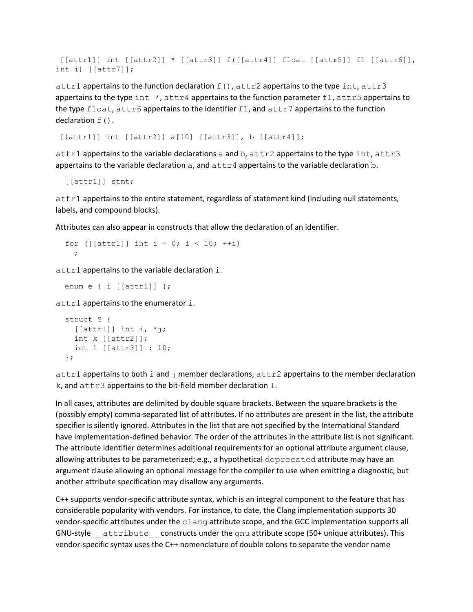[[attr1]] int [[attr2]] \* [[attr3]] f([[attr4]] float [[attr5]] f1 [[attr6]], int i) [[attr7]];

attr1 appertains to the function declaration  $f()$ , attr2 appertains to the type int, attr3 appertains to the type int  $\star$ , attr4 appertains to the function parameter f1, attr5 appertains to the type float, attr6 appertains to the identifier f1, and attr7 appertains to the function declaration  $f()$ .

[[attr1]] int [[attr2]] a[10] [[attr3]], b [[attr4]];

attr1 appertains to the variable declarations a and b,  $\text{attr2}$  appertains to the type  $\text{int}, \text{attr3}$ appertains to the variable declaration  $a$ , and  $a$ ttr4 appertains to the variable declaration  $b$ .

[[attr1]] stmt;

attr1 appertains to the entire statement, regardless of statement kind (including null statements, labels, and compound blocks).

Attributes can also appear in constructs that allow the declaration of an identifier.

```
for ([[attr1]] int i = 0; i < 10; ++i)
   ;
```
attr1 appertains to the variable declaration i.

```
 enum e { i [[attr1]] };
```
 $\text{attr1}$  appertains to the enumerator i.

```
 struct S {
  [[[attr1]] int i, *j;
   int k [[attr2]];
   int l [[attr3]] : 10;
 };
```
attr1 appertains to both i and  $\dagger$  member declarations,  $\text{attr2}$  appertains to the member declaration  $k$ , and  $attr3$  appertains to the bit-field member declaration  $l$ .

In all cases, attributes are delimited by double square brackets. Between the square brackets is the (possibly empty) comma-separated list of attributes. If no attributes are present in the list, the attribute specifier is silently ignored. Attributes in the list that are not specified by the International Standard have implementation-defined behavior. The order of the attributes in the attribute list is not significant. The attribute identifier determines additional requirements for an optional attribute argument clause, allowing attributes to be parameterized; e.g., a hypothetical deprecated attribute may have an argument clause allowing an optional message for the compiler to use when emitting a diagnostic, but another attribute specification may disallow any arguments.

C++ supports vendor-specific attribute syntax, which is an integral component to the feature that has considerable popularity with vendors. For instance, to date, the Clang implementation supports 30 vendor-specific attributes under the clang attribute scope, and the GCC implementation supports all GNU-style attribute constructs under the gnu attribute scope (50+ unique attributes). This vendor-specific syntax uses the C++ nomenclature of double colons to separate the vendor name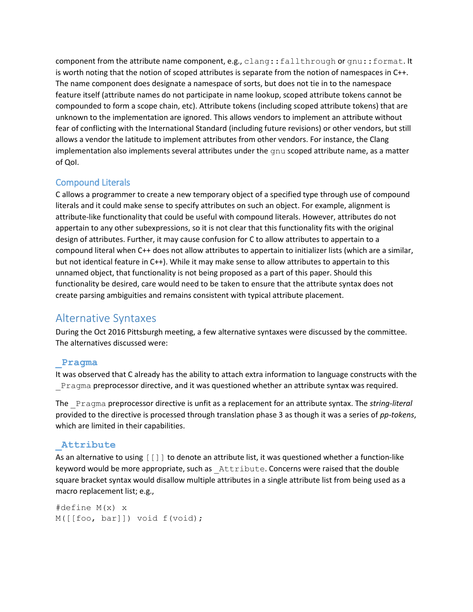component from the attribute name component, e.g., clang::fallthrough or gnu::format. It is worth noting that the notion of scoped attributes is separate from the notion of namespaces in C++. The name component does designate a namespace of sorts, but does not tie in to the namespace feature itself (attribute names do not participate in name lookup, scoped attribute tokens cannot be compounded to form a scope chain, etc). Attribute tokens (including scoped attribute tokens) that are unknown to the implementation are ignored. This allows vendors to implement an attribute without fear of conflicting with the International Standard (including future revisions) or other vendors, but still allows a vendor the latitude to implement attributes from other vendors. For instance, the Clang implementation also implements several attributes under the  $qnu$  scoped attribute name, as a matter of QoI.

# Compound Literals

C allows a programmer to create a new temporary object of a specified type through use of compound literals and it could make sense to specify attributes on such an object. For example, alignment is attribute-like functionality that could be useful with compound literals. However, attributes do not appertain to any other subexpressions, so it is not clear that this functionality fits with the original design of attributes. Further, it may cause confusion for C to allow attributes to appertain to a compound literal when C++ does not allow attributes to appertain to initializer lists (which are a similar, but not identical feature in C++). While it may make sense to allow attributes to appertain to this unnamed object, that functionality is not being proposed as a part of this paper. Should this functionality be desired, care would need to be taken to ensure that the attribute syntax does not create parsing ambiguities and remains consistent with typical attribute placement.

# Alternative Syntaxes

During the Oct 2016 Pittsburgh meeting, a few alternative syntaxes were discussed by the committee. The alternatives discussed were:

# **\_Pragma**

It was observed that C already has the ability to attach extra information to language constructs with the \_Pragma preprocessor directive, and it was questioned whether an attribute syntax was required.

The \_Pragma preprocessor directive is unfit as a replacement for an attribute syntax. The *string-literal* provided to the directive is processed through translation phase 3 as though it was a series of *pp-tokens*, which are limited in their capabilities.

# **\_Attribute**

As an alternative to using [[]] to denote an attribute list, it was questioned whether a function-like keyword would be more appropriate, such as Attribute. Concerns were raised that the double square bracket syntax would disallow multiple attributes in a single attribute list from being used as a macro replacement list; e.g.,

```
#define M(x) x
M([[foo, bar]]) void f(void);
```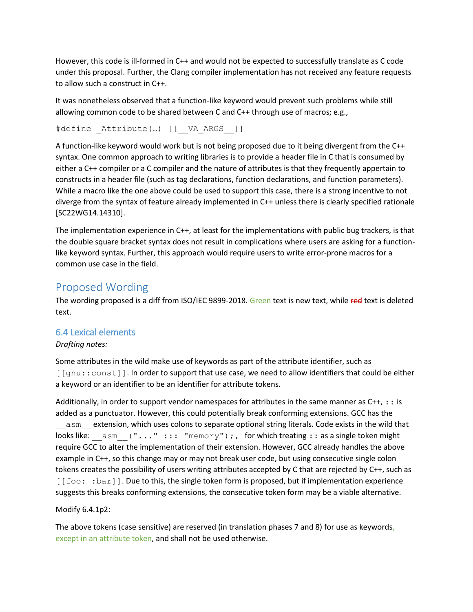However, this code is ill-formed in C++ and would not be expected to successfully translate as C code under this proposal. Further, the Clang compiler implementation has not received any feature requests to allow such a construct in C++.

It was nonetheless observed that a function-like keyword would prevent such problems while still allowing common code to be shared between C and C++ through use of macros; e.g.,

#define Attribute(...) [[\_\_VA\_ARGS ]]

A function-like keyword would work but is not being proposed due to it being divergent from the C++ syntax. One common approach to writing libraries is to provide a header file in C that is consumed by either a C++ compiler or a C compiler and the nature of attributes is that they frequently appertain to constructs in a header file (such as tag declarations, function declarations, and function parameters). While a macro like the one above could be used to support this case, there is a strong incentive to not diverge from the syntax of feature already implemented in C++ unless there is clearly specified rationale [SC22WG14.14310].

The implementation experience in C++, at least for the implementations with public bug trackers, is that the double square bracket syntax does not result in complications where users are asking for a functionlike keyword syntax. Further, this approach would require users to write error-prone macros for a common use case in the field.

# Proposed Wording

The wording proposed is a diff from ISO/IEC 9899-2018. Green text is new text, while red text is deleted text.

# 6.4 Lexical elements

# *Drafting notes:*

Some attributes in the wild make use of keywords as part of the attribute identifier, such as [[gnu::const]]. In order to support that use case, we need to allow identifiers that could be either a keyword or an identifier to be an identifier for attribute tokens.

Additionally, in order to support vendor namespaces for attributes in the same manner as  $C_{++}$ ,  $\pm$ : is added as a punctuator. However, this could potentially break conforming extensions. GCC has the asm extension, which uses colons to separate optional string literals. Code exists in the wild that looks like:  $\alpha = \alpha$  asm ("..." ::: "memory");, for which treating :: as a single token might require GCC to alter the implementation of their extension. However, GCC already handles the above example in C++, so this change may or may not break user code, but using consecutive single colon tokens creates the possibility of users writing attributes accepted by C that are rejected by C++, such as [[foo: : bar]]. Due to this, the single token form is proposed, but if implementation experience suggests this breaks conforming extensions, the consecutive token form may be a viable alternative.

# Modify 6.4.1p2:

The above tokens (case sensitive) are reserved (in translation phases 7 and 8) for use as keywords, except in an attribute token, and shall not be used otherwise.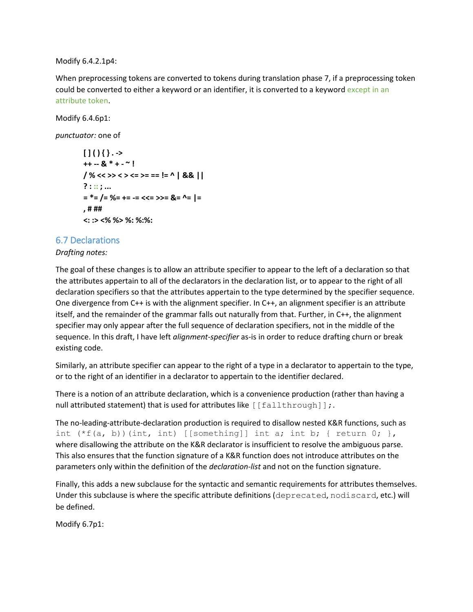Modify 6.4.2.1p4:

When preprocessing tokens are converted to tokens during translation phase 7, if a preprocessing token could be converted to either a keyword or an identifier, it is converted to a keyword except in an attribute token.

Modify 6.4.6p1:

*punctuator:* one of

```
[ ] ( ) \{ \}. ->
++ -- & * + - ~ !
/ % << >> < > <= >= == != ^ | && ||
? : :: ; ...
= *= /= %= += -= <<= >>= &= ^= |=
, # ##
<: :> <% %> %: %:%:
```
## 6.7 Declarations

#### *Drafting notes:*

The goal of these changes is to allow an attribute specifier to appear to the left of a declaration so that the attributes appertain to all of the declarators in the declaration list, or to appear to the right of all declaration specifiers so that the attributes appertain to the type determined by the specifier sequence. One divergence from C++ is with the alignment specifier. In C++, an alignment specifier is an attribute itself, and the remainder of the grammar falls out naturally from that. Further, in C++, the alignment specifier may only appear after the full sequence of declaration specifiers, not in the middle of the sequence. In this draft, I have left *alignment-specifier* as-is in order to reduce drafting churn or break existing code.

Similarly, an attribute specifier can appear to the right of a type in a declarator to appertain to the type, or to the right of an identifier in a declarator to appertain to the identifier declared.

There is a notion of an attribute declaration, which is a convenience production (rather than having a null attributed statement) that is used for attributes like [[fallthrough]];.

The no-leading-attribute-declaration production is required to disallow nested K&R functions, such as int  $(*f(a, b))$  (int, int) [[something]] int a; int b; { return 0; }, where disallowing the attribute on the K&R declarator is insufficient to resolve the ambiguous parse. This also ensures that the function signature of a K&R function does not introduce attributes on the parameters only within the definition of the *declaration-list* and not on the function signature.

Finally, this adds a new subclause for the syntactic and semantic requirements for attributes themselves. Under this subclause is where the specific attribute definitions (deprecated, nodiscard, etc.) will be defined.

Modify 6.7p1: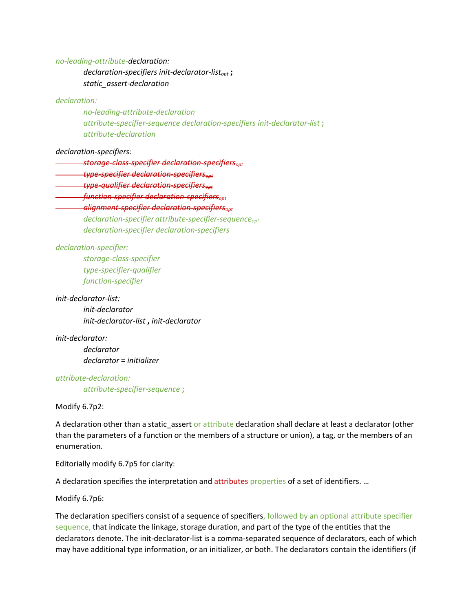*no-leading-attribute-declaration:*

*declaration-specifiers init-declarator-listopt* **;** *static\_assert-declaration*

#### *declaration:*

*no-leading-attribute-declaration attribute-specifier-sequence declaration-specifiers init-declarator-list* **;** *attribute-declaration*

#### *declaration-specifiers:*

*storage-class-specifier declaration-specifiersopt*

*type-specifier declaration-specifiersopt*

*type-qualifier declaration-specifiersopt*

*function-specifier declaration-specifiersopt*

#### *alignment-specifier declaration-specifiersopt*

*declaration-specifier attribute-specifier-sequenceopt declaration-specifier declaration-specifiers*

#### *declaration-specifier:*

*storage-class-specifier type-specifier-qualifier function-specifier*

#### *init-declarator-list:*

*init-declarator init-declarator-list* **,** *init-declarator*

*init-declarator:*

*declarator declarator* **=** *initializer*

*attribute-declaration: attribute-specifier-sequence* **;**

Modify 6.7p2:

A declaration other than a static assert or attribute declaration shall declare at least a declarator (other than the parameters of a function or the members of a structure or union), a tag, or the members of an enumeration.

Editorially modify 6.7p5 for clarity:

A declaration specifies the interpretation and attributes properties of a set of identifiers. ...

Modify 6.7p6:

The declaration specifiers consist of a sequence of specifiers, followed by an optional attribute specifier sequence, that indicate the linkage, storage duration, and part of the type of the entities that the declarators denote. The init-declarator-list is a comma-separated sequence of declarators, each of which may have additional type information, or an initializer, or both. The declarators contain the identifiers (if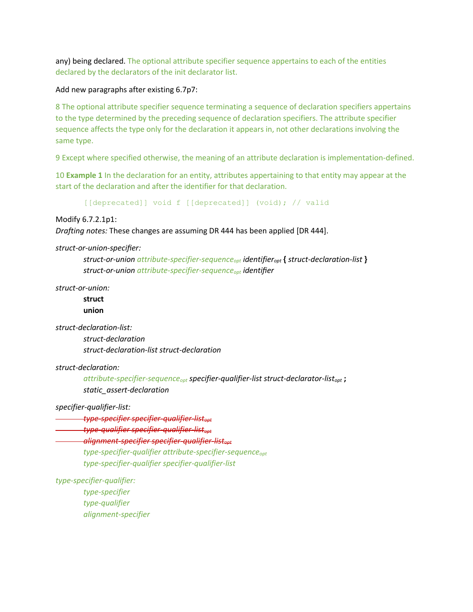any) being declared. The optional attribute specifier sequence appertains to each of the entities declared by the declarators of the init declarator list.

Add new paragraphs after existing 6.7p7:

8 The optional attribute specifier sequence terminating a sequence of declaration specifiers appertains to the type determined by the preceding sequence of declaration specifiers. The attribute specifier sequence affects the type only for the declaration it appears in, not other declarations involving the same type.

9 Except where specified otherwise, the meaning of an attribute declaration is implementation-defined.

10 **Example 1** In the declaration for an entity, attributes appertaining to that entity may appear at the start of the declaration and after the identifier for that declaration.

[[deprecated]] void f [[deprecated]] (void); // valid

Modify 6.7.2.1p1:

*Drafting notes:* These changes are assuming DR 444 has been applied [DR 444].

*struct-or-union-specifier:*

*struct-or-union attribute-specifier-sequenceopt identifieropt* **{** *struct-declaration-list* **}** *struct-or-union attribute-specifier-sequenceopt identifier*

*struct-or-union:*

**struct union**

*struct-declaration-list:*

*struct-declaration struct-declaration-list struct-declaration*

*struct-declaration:*

*attribute-specifier-sequenceopt specifier-qualifier-list struct-declarator-listopt* **;** *static\_assert-declaration*

*specifier-qualifier-list:*

*type-specifier specifier-qualifier-listopt*

*type-qualifier specifier-qualifier-listopt*

*alignment-specifier specifier-qualifier-listopt*

*type-specifier-qualifier attribute-specifier-sequenceopt type-specifier-qualifier specifier-qualifier-list*

*type-specifier-qualifier:*

*type-specifier type-qualifier alignment-specifier*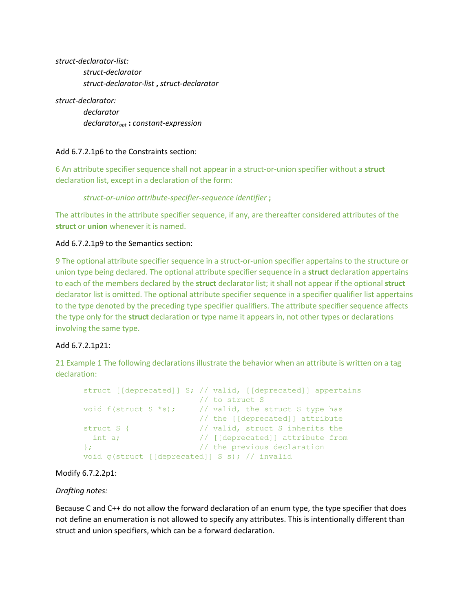*struct-declarator-list: struct-declarator struct-declarator-list* **,** *struct-declarator*

*struct-declarator: declarator declaratoropt* **:** *constant-expression*

## Add 6.7.2.1p6 to the Constraints section:

6 An attribute specifier sequence shall not appear in a struct-or-union specifier without a **struct** declaration list, except in a declaration of the form:

*struct-or-union attribute-specifier-sequence identifier* **;**

The attributes in the attribute specifier sequence, if any, are thereafter considered attributes of the **struct** or **union** whenever it is named.

#### Add 6.7.2.1p9 to the Semantics section:

9 The optional attribute specifier sequence in a struct-or-union specifier appertains to the structure or union type being declared. The optional attribute specifier sequence in a **struct** declaration appertains to each of the members declared by the **struct** declarator list; it shall not appear if the optional **struct** declarator list is omitted. The optional attribute specifier sequence in a specifier qualifier list appertains to the type denoted by the preceding type specifier qualifiers. The attribute specifier sequence affects the type only for the **struct** declaration or type name it appears in, not other types or declarations involving the same type.

#### Add 6.7.2.1p21:

21 Example 1 The following declarations illustrate the behavior when an attribute is written on a tag declaration:

```
struct [[deprecated]] S; // valid, [[deprecated]] appertains
 // to struct S
void f(struct S *s); \frac{1}{2} // valid, the struct S type has
 // the [[deprecated]] attribute
struct S { \frac{1}{2} // valid, struct S inherits the
int a; \frac{1}{2} // [[deprecated]] attribute from
}; // the previous declaration
void g(struct [[deprecated]] S s); // invalid
```
Modify 6.7.2.2p1:

#### *Drafting notes:*

Because C and C++ do not allow the forward declaration of an enum type, the type specifier that does not define an enumeration is not allowed to specify any attributes. This is intentionally different than struct and union specifiers, which can be a forward declaration.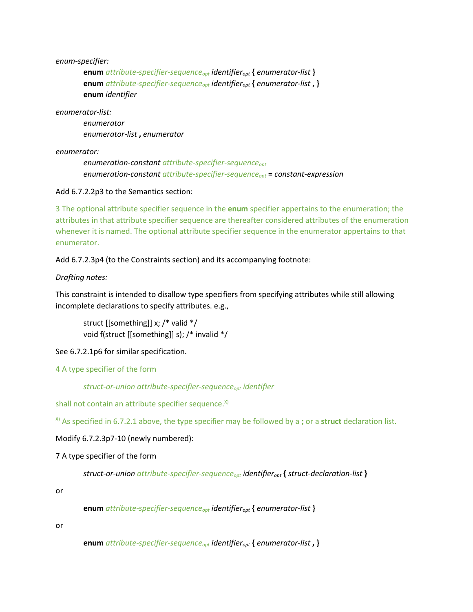*enum-specifier:*

**enum** *attribute-specifier-sequenceopt identifieropt* **{** *enumerator-list* **} enum** *attribute-specifier-sequenceopt identifieropt* **{** *enumerator-list* **, } enum** *identifier*

*enumerator-list:*

*enumerator enumerator-list* **,** *enumerator*

*enumerator:*

*enumeration-constant attribute-specifier-sequenceopt enumeration-constant attribute-specifier-sequenceopt* **=** *constant-expression*

Add 6.7.2.2p3 to the Semantics section:

3 The optional attribute specifier sequence in the **enum** specifier appertains to the enumeration; the attributes in that attribute specifier sequence are thereafter considered attributes of the enumeration whenever it is named. The optional attribute specifier sequence in the enumerator appertains to that enumerator.

Add 6.7.2.3p4 (to the Constraints section) and its accompanying footnote:

*Drafting notes:*

This constraint is intended to disallow type specifiers from specifying attributes while still allowing incomplete declarations to specify attributes. e.g.,

struct [[something]] x; /\* valid \*/ void f(struct [[something]] s); /\* invalid \*/

See 6.7.2.1p6 for similar specification.

4 A type specifier of the form

*struct-or-union attribute-specifier-sequenceopt identifier*

shall not contain an attribute specifier sequence.<sup>x)</sup>

X) As specified in 6.7.2.1 above, the type specifier may be followed by a **;** or a **struct** declaration list.

Modify 6.7.2.3p7-10 (newly numbered):

7 A type specifier of the form

*struct-or-union attribute-specifier-sequenceopt identifieropt* **{** *struct-declaration-list* **}**

or

**enum** *attribute-specifier-sequenceopt identifieropt* **{** *enumerator-list* **}**

or

**enum** *attribute-specifier-sequenceopt identifieropt* **{** *enumerator-list* **, }**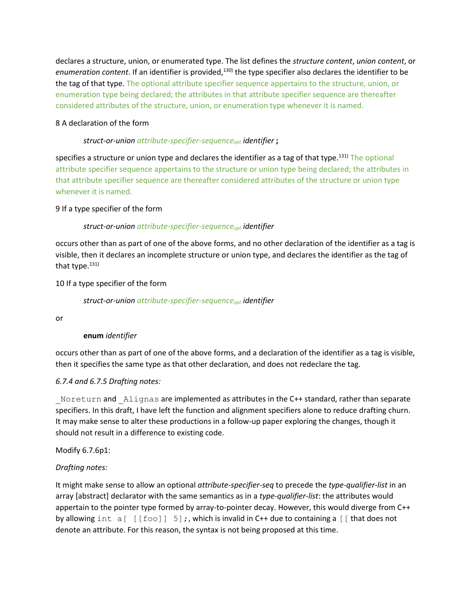declares a structure, union, or enumerated type. The list defines the *structure content*, *union content*, or enumeration content. If an identifier is provided,<sup>130)</sup> the type specifier also declares the identifier to be the tag of that type. The optional attribute specifier sequence appertains to the structure, union, or enumeration type being declared; the attributes in that attribute specifier sequence are thereafter considered attributes of the structure, union, or enumeration type whenever it is named.

## 8 A declaration of the form

## *struct-or-union attribute-specifier-sequenceopt identifier* **;**

specifies a structure or union type and declares the identifier as a tag of that type.<sup>131)</sup> The optional attribute specifier sequence appertains to the structure or union type being declared; the attributes in that attribute specifier sequence are thereafter considered attributes of the structure or union type whenever it is named.

## 9 If a type specifier of the form

## *struct-or-union attribute-specifier-sequenceopt identifier*

occurs other than as part of one of the above forms, and no other declaration of the identifier as a tag is visible, then it declares an incomplete structure or union type, and declares the identifier as the tag of that type. $131$ )

## 10 If a type specifier of the form

*struct-or-union attribute-specifier-sequenceopt identifier*

or

# **enum** *identifier*

occurs other than as part of one of the above forms, and a declaration of the identifier as a tag is visible, then it specifies the same type as that other declaration, and does not redeclare the tag.

# *6.7.4 and 6.7.5 Drafting notes:*

Noreturn and Alignas are implemented as attributes in the C++ standard, rather than separate specifiers. In this draft, I have left the function and alignment specifiers alone to reduce drafting churn. It may make sense to alter these productions in a follow-up paper exploring the changes, though it should not result in a difference to existing code.

#### Modify 6.7.6p1:

# *Drafting notes:*

It might make sense to allow an optional *attribute-specifier-seq* to precede the *type-qualifier-list* in an array [abstract] declarator with the same semantics as in a *type-qualifier-list*: the attributes would appertain to the pointer type formed by array-to-pointer decay. However, this would diverge from C++ by allowing int a [ [[foo]] 5];, which is invalid in C++ due to containing a [ [ that does not denote an attribute. For this reason, the syntax is not being proposed at this time.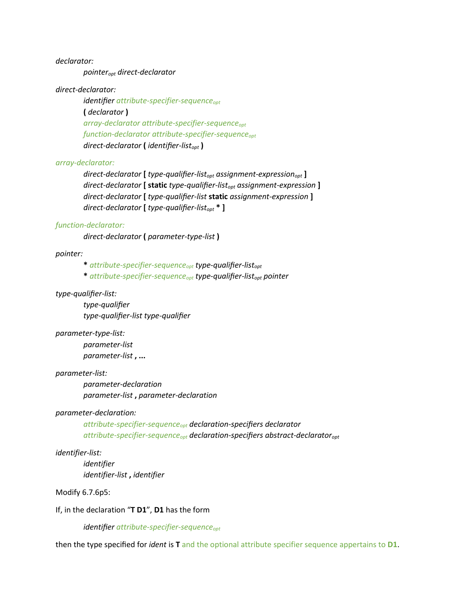*declarator:*

*pointeropt direct-declarator*

#### *direct-declarator:*

*identifier attribute-specifier-sequenceopt* **(** *declarator* **)** *array-declarator attribute-specifier-sequenceopt function-declarator attribute-specifier-sequenceopt direct-declarator* **(** *identifier-listopt* **)**

#### *array-declarator:*

*direct-declarator* **[** *type-qualifier-listopt assignment-expressionopt* **]** *direct-declarator* **[ static** *type-qualifier-listopt assignment-expression* **]** *direct-declarator* **[** *type-qualifier-list* **static** *assignment-expression* **]** *direct-declarator* **[** *type-qualifier-listopt* **\* ]**

#### *function-declarator:*

*direct-declarator* **(** *parameter-type-list* **)**

#### *pointer:*

**\*** *attribute-specifier-sequenceopt type-qualifier-listopt*

**\*** *attribute-specifier-sequenceopt type-qualifier-listopt pointer*

#### *type-qualifier-list:*

*type-qualifier type-qualifier-list type-qualifier*

#### *parameter-type-list:*

*parameter-list parameter-list* **, ...**

#### *parameter-list:*

*parameter-declaration parameter-list* **,** *parameter-declaration*

#### *parameter-declaration:*

*attribute-specifier-sequenceopt declaration-specifiers declarator attribute-specifier-sequenceopt declaration-specifiers abstract-declaratoropt*

#### *identifier-list:*

*identifier identifier-list* **,** *identifier*

#### Modify 6.7.6p5:

If, in the declaration "**T D1**", **D1** has the form

*identifier attribute-specifier-sequenceopt*

then the type specified for *ident* is **T** and the optional attribute specifier sequence appertains to **D1**.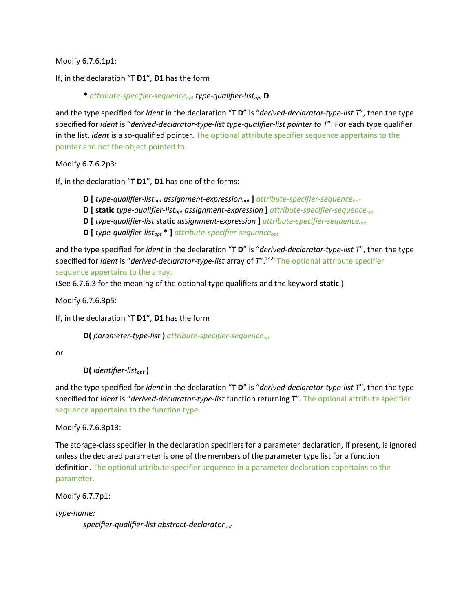Modify 6.7.6.1p1:

If, in the declaration "**T D1**", **D1** has the form

**\*** *attribute-specifier-sequenceopt type-qualifier-listopt* **D**

and the type specified for *ident* in the declaration "**T D**" is "*derived-declarator-type-list T*", then the type specified for *ident* is "*derived-declarator-type-list type-qualifier-list pointer to T*". For each type qualifier in the list, *ident* is a so-qualified pointer. The optional attribute specifier sequence appertains to the pointer and not the object pointed to.

Modify 6.7.6.2p3:

If, in the declaration "**T D1**", **D1** has one of the forms:

**D [** *type-qualifier-listopt assignment-expressionopt* **]** *attribute-specifier-sequenceopt*

**D [ static** *type-qualifier-listopt assignment-expression* **]** *attribute-specifier-sequenceopt*

- **D [** *type-qualifier-list* **static** *assignment-expression* **]** *attribute-specifier-sequenceopt*
- **D [** *type-qualifier-listopt* **\* ]** *attribute-specifier-sequenceopt*

and the type specified for *ident* in the declaration "**T D**" is "*derived-declarator-type-list T*", then the type specified for *ident* is "*derived-declarator-type-list* array of *T*".142) The optional attribute specifier sequence appertains to the array.

(See 6.7.6.3 for the meaning of the optional type qualifiers and the keyword **static**.)

Modify 6.7.6.3p5:

If, in the declaration "**T D1**", **D1** has the form

**D(** *parameter-type-list* **)** *attribute-specifier-sequenceopt*

or

**D(** *identifier-listopt* **)**

and the type specified for *ident* in the declaration "**T D**" is "*derived-declarator-type-list* T", then the type specified for *ident* is "*derived-declarator-type-list* function returning T". The optional attribute specifier sequence appertains to the function type.

Modify 6.7.6.3p13:

The storage-class specifier in the declaration specifiers for a parameter declaration, if present, is ignored unless the declared parameter is one of the members of the parameter type list for a function definition. The optional attribute specifier sequence in a parameter declaration appertains to the parameter.

Modify 6.7.7p1:

*type-name:*

*specifier-qualifier-list abstract-declaratoropt*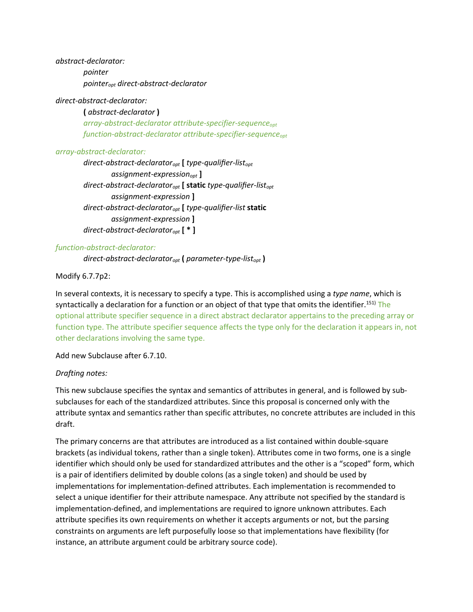*abstract-declarator: pointer pointeropt direct-abstract-declarator*

#### *direct-abstract-declarator:*

**(** *abstract-declarator* **)** *array-abstract-declarator attribute-specifier-sequenceopt function-abstract-declarator attribute-specifier-sequenceopt*

#### *array-abstract-declarator:*

*direct-abstract-declaratoropt* **[** *type-qualifier-listopt assignment-expressionopt* **]** *direct-abstract-declaratoropt* **[ static** *type-qualifier-listopt assignment-expression* **]** *direct-abstract-declaratoropt* **[** *type-qualifier-list* **static** *assignment-expression* **]** *direct-abstract-declaratoropt* **[ \* ]**

#### *function-abstract-declarator:*

*direct-abstract-declaratoropt* **(** *parameter-type-listopt* **)**

## Modify 6.7.7p2:

In several contexts, it is necessary to specify a type. This is accomplished using a *type name*, which is syntactically a declaration for a function or an object of that type that omits the identifier.<sup>151)</sup> The optional attribute specifier sequence in a direct abstract declarator appertains to the preceding array or function type. The attribute specifier sequence affects the type only for the declaration it appears in, not other declarations involving the same type.

Add new Subclause after 6.7.10.

#### *Drafting notes:*

This new subclause specifies the syntax and semantics of attributes in general, and is followed by subsubclauses for each of the standardized attributes. Since this proposal is concerned only with the attribute syntax and semantics rather than specific attributes, no concrete attributes are included in this draft.

The primary concerns are that attributes are introduced as a list contained within double-square brackets (as individual tokens, rather than a single token). Attributes come in two forms, one is a single identifier which should only be used for standardized attributes and the other is a "scoped" form, which is a pair of identifiers delimited by double colons (as a single token) and should be used by implementations for implementation-defined attributes. Each implementation is recommended to select a unique identifier for their attribute namespace. Any attribute not specified by the standard is implementation-defined, and implementations are required to ignore unknown attributes. Each attribute specifies its own requirements on whether it accepts arguments or not, but the parsing constraints on arguments are left purposefully loose so that implementations have flexibility (for instance, an attribute argument could be arbitrary source code).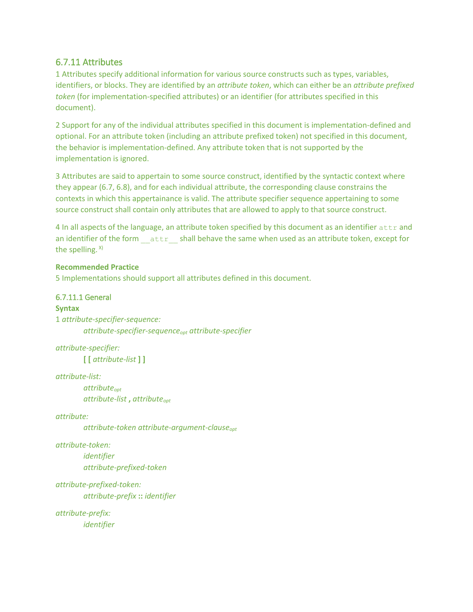# 6.7.11 Attributes

1 Attributes specify additional information for various source constructs such as types, variables, identifiers, or blocks. They are identified by an *attribute token*, which can either be an *attribute prefixed token* (for implementation-specified attributes) or an identifier (for attributes specified in this document).

2 Support for any of the individual attributes specified in this document is implementation-defined and optional. For an attribute token (including an attribute prefixed token) not specified in this document, the behavior is implementation-defined. Any attribute token that is not supported by the implementation is ignored.

3 Attributes are said to appertain to some source construct, identified by the syntactic context where they appear (6.7, 6.8), and for each individual attribute, the corresponding clause constrains the contexts in which this appertainance is valid. The attribute specifier sequence appertaining to some source construct shall contain only attributes that are allowed to apply to that source construct.

4 In all aspects of the language, an attribute token specified by this document as an identifier attr and an identifier of the form attr shall behave the same when used as an attribute token, except for the spelling.  $x$ )

## **Recommended Practice**

5 Implementations should support all attributes defined in this document.

# 6.7.11.1 General

**Syntax** 1 *attribute-specifier-sequence: attribute-specifier-sequenceopt attribute-specifier*

*attribute-specifier:* **[ [** *attribute-list* **] ]**

*attribute-list:*

*attributeopt attribute-list* **,** *attributeopt*

*attribute:*

*attribute-token attribute-argument-clauseopt*

*attribute-token:*

*identifier attribute-prefixed-token*

*attribute-prefixed-token:*

*attribute-prefix* **::** *identifier*

*attribute-prefix: identifier*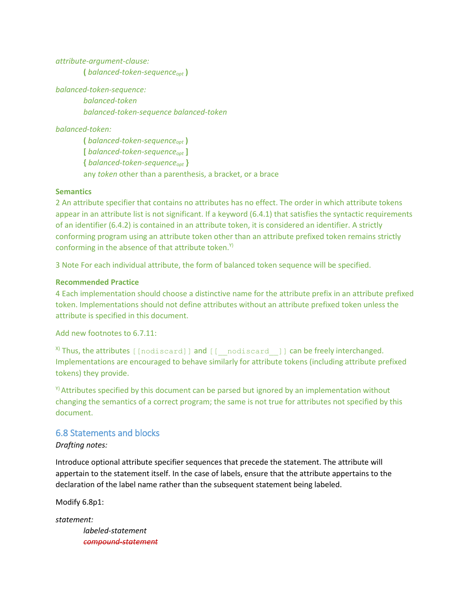*attribute-argument-clause:* **(** *balanced-token-sequenceopt* **)**

*balanced-token-sequence: balanced-token balanced-token-sequence balanced-token*

*balanced-token:*

**(** *balanced-token-sequenceopt* **) [** *balanced-token-sequenceopt* **] {** *balanced-token-sequenceopt* **}** any *token* other than a parenthesis, a bracket, or a brace

#### **Semantics**

2 An attribute specifier that contains no attributes has no effect. The order in which attribute tokens appear in an attribute list is not significant. If a keyword (6.4.1) that satisfies the syntactic requirements of an identifier (6.4.2) is contained in an attribute token, it is considered an identifier. A strictly conforming program using an attribute token other than an attribute prefixed token remains strictly conforming in the absence of that attribute token.<sup>Y)</sup>

3 Note For each individual attribute, the form of balanced token sequence will be specified.

#### **Recommended Practice**

4 Each implementation should choose a distinctive name for the attribute prefix in an attribute prefixed token. Implementations should not define attributes without an attribute prefixed token unless the attribute is specified in this document.

Add new footnotes to 6.7.11:

 $X$ ) Thus, the attributes [[nodiscard]] and  $[$  [  $-$  nodiscard  $-$  ]] can be freely interchanged. Implementations are encouraged to behave similarly for attribute tokens (including attribute prefixed tokens) they provide.

 $Y$ <sup>)</sup> Attributes specified by this document can be parsed but ignored by an implementation without changing the semantics of a correct program; the same is not true for attributes not specified by this document.

#### 6.8 Statements and blocks

#### *Drafting notes:*

Introduce optional attribute specifier sequences that precede the statement. The attribute will appertain to the statement itself. In the case of labels, ensure that the attribute appertains to the declaration of the label name rather than the subsequent statement being labeled.

Modify 6.8p1:

*statement: labeled-statement compound-statement*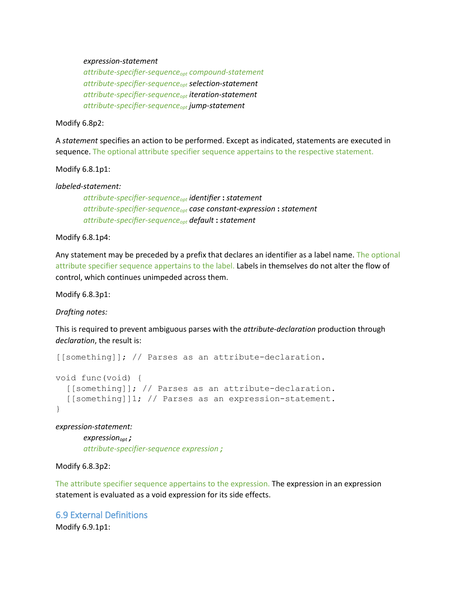#### *expression-statement*

*attribute-specifier-sequenceopt compound-statement attribute-specifier-sequenceopt selection-statement attribute-specifier-sequenceopt iteration-statement attribute-specifier-sequenceopt jump-statement*

Modify 6.8p2:

A *statement* specifies an action to be performed. Except as indicated, statements are executed in sequence. The optional attribute specifier sequence appertains to the respective statement.

Modify 6.8.1p1:

*labeled-statement:*

*attribute-specifier-sequenceopt identifier* **:** *statement attribute-specifier-sequenceopt case constant-expression* **:** *statement attribute-specifier-sequenceopt default* **:** *statement*

Modify 6.8.1p4:

Any statement may be preceded by a prefix that declares an identifier as a label name. The optional attribute specifier sequence appertains to the label. Labels in themselves do not alter the flow of control, which continues unimpeded across them.

Modify 6.8.3p1:

*Drafting notes:*

This is required to prevent ambiguous parses with the *attribute-declaration* production through *declaration*, the result is:

[[something]]; // Parses as an attribute-declaration.

```
void func(void) {
  [[something]]; // Parses as an attribute-declaration.
   [[something]]1; // Parses as an expression-statement.
}
```
*expression-statement:*

*expressionopt ; attribute-specifier-sequence expression ;*

Modify 6.8.3p2:

The attribute specifier sequence appertains to the expression. The expression in an expression statement is evaluated as a void expression for its side effects.

#### 6.9 External Definitions

Modify 6.9.1p1: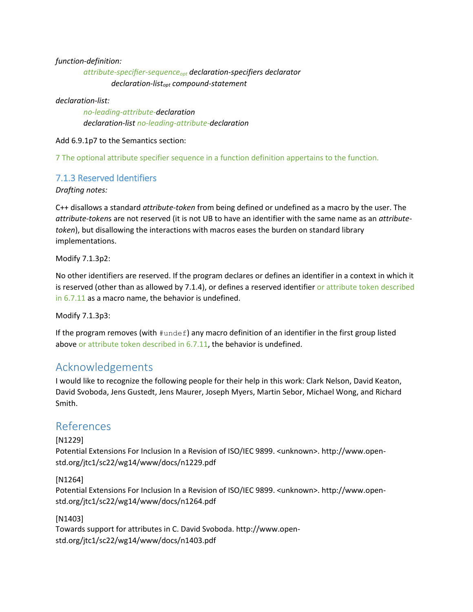#### *function-definition:*

*attribute-specifier-sequenceopt declaration-specifiers declarator declaration-listopt compound-statement*

#### *declaration-list:*

*no-leading-attribute-declaration declaration-list no-leading-attribute-declaration*

Add 6.9.1p7 to the Semantics section:

7 The optional attribute specifier sequence in a function definition appertains to the function.

# 7.1.3 Reserved Identifiers

*Drafting notes:*

C++ disallows a standard *attribute-token* from being defined or undefined as a macro by the user. The *attribute-token*s are not reserved (it is not UB to have an identifier with the same name as an *attributetoken*), but disallowing the interactions with macros eases the burden on standard library implementations.

Modify 7.1.3p2:

No other identifiers are reserved. If the program declares or defines an identifier in a context in which it is reserved (other than as allowed by 7.1.4), or defines a reserved identifier or attribute token described in 6.7.11 as a macro name, the behavior is undefined.

Modify 7.1.3p3:

If the program removes (with  $\#$ undef) any macro definition of an identifier in the first group listed above or attribute token described in 6.7.11, the behavior is undefined.

# Acknowledgements

I would like to recognize the following people for their help in this work: Clark Nelson, David Keaton, David Svoboda, Jens Gustedt, Jens Maurer, Joseph Myers, Martin Sebor, Michael Wong, and Richard Smith.

# References

[N1229]

Potential Extensions For Inclusion In a Revision of ISO/IEC 9899. <unknown>. http://www.openstd.org/jtc1/sc22/wg14/www/docs/n1229.pdf

# [N1264]

Potential Extensions For Inclusion In a Revision of ISO/IEC 9899. <unknown>. http://www.openstd.org/jtc1/sc22/wg14/www/docs/n1264.pdf

#### [N1403]

Towards support for attributes in C. David Svoboda. http://www.openstd.org/jtc1/sc22/wg14/www/docs/n1403.pdf